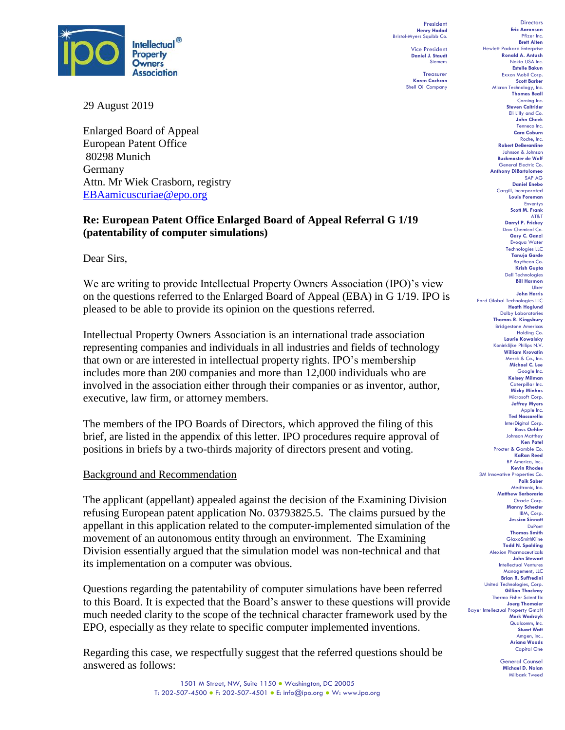

29 August 2019

Enlarged Board of Appeal European Patent Office 80298 Munich Germany Attn. Mr Wiek Crasborn, registry [EBAamicuscuriae@epo.org](mailto:EBAamicuscuriae@epo.org)

### **Re: European Patent Office Enlarged Board of Appeal Referral G 1/19 (patentability of computer simulations)**

Dear Sirs,

We are writing to provide Intellectual Property Owners Association (IPO)'s view on the questions referred to the Enlarged Board of Appeal (EBA) in G 1/19. IPO is pleased to be able to provide its opinion on the questions referred.

Intellectual Property Owners Association is an international trade association representing companies and individuals in all industries and fields of technology that own or are interested in intellectual property rights. IPO's membership includes more than 200 companies and more than 12,000 individuals who are involved in the association either through their companies or as inventor, author, executive, law firm, or attorney members.

The members of the IPO Boards of Directors, which approved the filing of this brief, are listed in the appendix of this letter. IPO procedures require approval of positions in briefs by a two-thirds majority of directors present and voting.

#### Background and Recommendation

The applicant (appellant) appealed against the decision of the Examining Division refusing European patent application No. 03793825.5. The claims pursued by the appellant in this application related to the computer-implemented simulation of the movement of an autonomous entity through an environment. The Examining Division essentially argued that the simulation model was non-technical and that its implementation on a computer was obvious.

Questions regarding the patentability of computer simulations have been referred to this Board. It is expected that the Board's answer to these questions will provide much needed clarity to the scope of the technical character framework used by the EPO, especially as they relate to specific computer implemented inventions.

Regarding this case, we respectfully suggest that the referred questions should be answered as follows:

President **Henry Hadad** Bristol-Myers Squibb Co.

> Vice President **Daniel J. Staudt** Siemens

Treasurer **Karen Cochran** Shell Oil Company



General Counsel **Michael D. Nolan** Milbank Tweed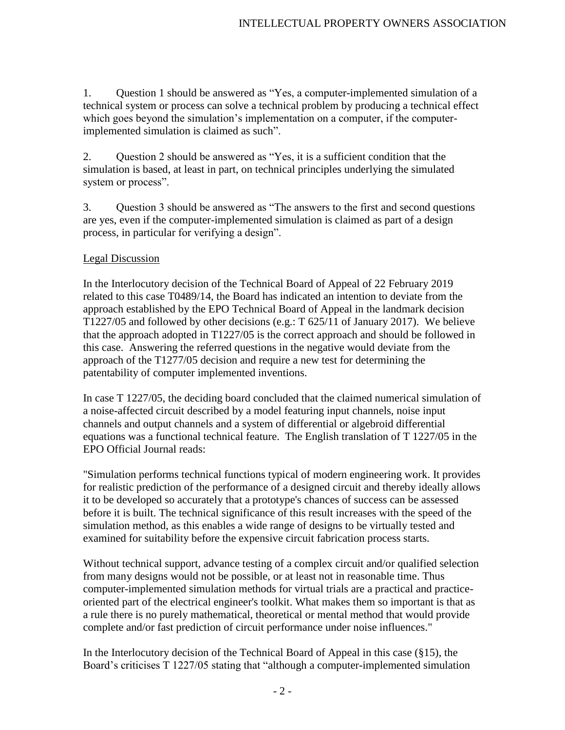1. Question 1 should be answered as "Yes, a computer-implemented simulation of a technical system or process can solve a technical problem by producing a technical effect which goes beyond the simulation's implementation on a computer, if the computerimplemented simulation is claimed as such".

2. Question 2 should be answered as "Yes, it is a sufficient condition that the simulation is based, at least in part, on technical principles underlying the simulated system or process".

3. Question 3 should be answered as "The answers to the first and second questions are yes, even if the computer-implemented simulation is claimed as part of a design process, in particular for verifying a design".

### Legal Discussion

In the Interlocutory decision of the Technical Board of Appeal of 22 February 2019 related to this case T0489/14, the Board has indicated an intention to deviate from the approach established by the EPO Technical Board of Appeal in the landmark decision T1227/05 and followed by other decisions (e.g.: T 625/11 of January 2017). We believe that the approach adopted in T1227/05 is the correct approach and should be followed in this case. Answering the referred questions in the negative would deviate from the approach of the T1277/05 decision and require a new test for determining the patentability of computer implemented inventions.

In case T 1227/05, the deciding board concluded that the claimed numerical simulation of a noise-affected circuit described by a model featuring input channels, noise input channels and output channels and a system of differential or algebroid differential equations was a functional technical feature. The English translation of T 1227/05 in the EPO Official Journal reads:

"Simulation performs technical functions typical of modern engineering work. It provides for realistic prediction of the performance of a designed circuit and thereby ideally allows it to be developed so accurately that a prototype's chances of success can be assessed before it is built. The technical significance of this result increases with the speed of the simulation method, as this enables a wide range of designs to be virtually tested and examined for suitability before the expensive circuit fabrication process starts.

Without technical support, advance testing of a complex circuit and/or qualified selection from many designs would not be possible, or at least not in reasonable time. Thus computer-implemented simulation methods for virtual trials are a practical and practiceoriented part of the electrical engineer's toolkit. What makes them so important is that as a rule there is no purely mathematical, theoretical or mental method that would provide complete and/or fast prediction of circuit performance under noise influences."

In the Interlocutory decision of the Technical Board of Appeal in this case (§15), the Board's criticises T 1227/05 stating that "although a computer-implemented simulation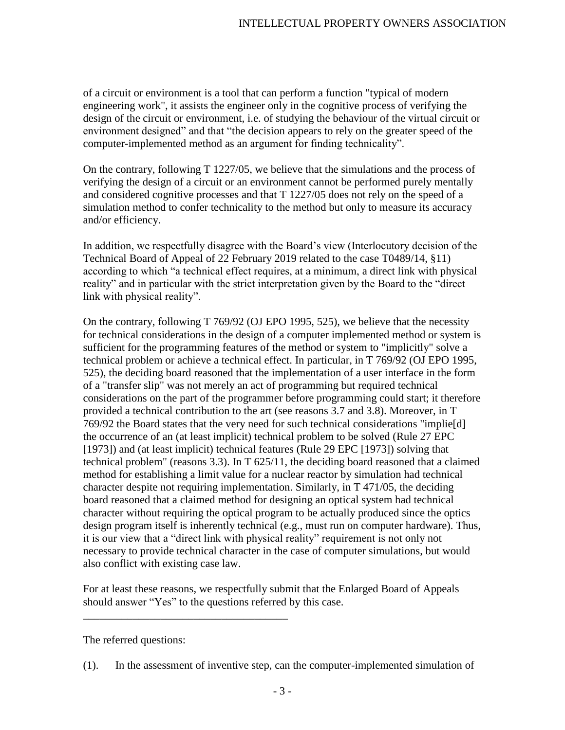of a circuit or environment is a tool that can perform a function "typical of modern engineering work", it assists the engineer only in the cognitive process of verifying the design of the circuit or environment, i.e. of studying the behaviour of the virtual circuit or environment designed" and that "the decision appears to rely on the greater speed of the computer-implemented method as an argument for finding technicality".

On the contrary, following T 1227/05, we believe that the simulations and the process of verifying the design of a circuit or an environment cannot be performed purely mentally and considered cognitive processes and that T 1227/05 does not rely on the speed of a simulation method to confer technicality to the method but only to measure its accuracy and/or efficiency.

In addition, we respectfully disagree with the Board's view (Interlocutory decision of the Technical Board of Appeal of 22 February 2019 related to the case T0489/14, §11) according to which "a technical effect requires, at a minimum, a direct link with physical reality" and in particular with the strict interpretation given by the Board to the "direct link with physical reality".

On the contrary, following T 769/92 (OJ EPO 1995, 525), we believe that the necessity for technical considerations in the design of a computer implemented method or system is sufficient for the programming features of the method or system to "implicitly" solve a technical problem or achieve a technical effect. In particular, in T 769/92 (OJ EPO 1995, 525), the deciding board reasoned that the implementation of a user interface in the form of a "transfer slip" was not merely an act of programming but required technical considerations on the part of the programmer before programming could start; it therefore provided a technical contribution to the art (see reasons 3.7 and 3.8). Moreover, in T 769/92 the Board states that the very need for such technical considerations "implie[d] the occurrence of an (at least implicit) technical problem to be solved (Rule 27 EPC [1973]) and (at least implicit) technical features (Rule 29 EPC [1973]) solving that technical problem" (reasons 3.3). In T 625/11, the deciding board reasoned that a claimed method for establishing a limit value for a nuclear reactor by simulation had technical character despite not requiring implementation. Similarly, in T 471/05, the deciding board reasoned that a claimed method for designing an optical system had technical character without requiring the optical program to be actually produced since the optics design program itself is inherently technical (e.g., must run on computer hardware). Thus, it is our view that a "direct link with physical reality" requirement is not only not necessary to provide technical character in the case of computer simulations, but would also conflict with existing case law.

For at least these reasons, we respectfully submit that the Enlarged Board of Appeals should answer "Yes" to the questions referred by this case.

The referred questions:

\_\_\_\_\_\_\_\_\_\_\_\_\_\_\_\_\_\_\_\_\_\_\_\_\_\_\_\_\_\_\_\_\_\_\_\_\_

(1). In the assessment of inventive step, can the computer-implemented simulation of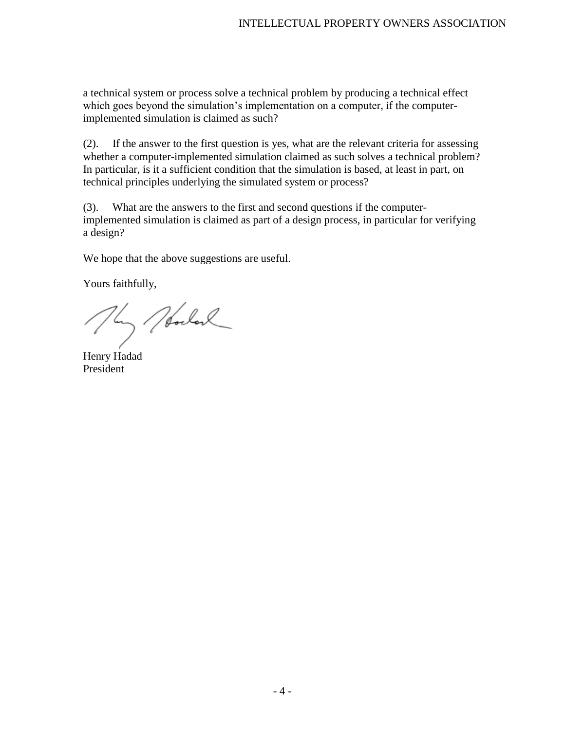a technical system or process solve a technical problem by producing a technical effect which goes beyond the simulation's implementation on a computer, if the computerimplemented simulation is claimed as such?

(2). If the answer to the first question is yes, what are the relevant criteria for assessing whether a computer-implemented simulation claimed as such solves a technical problem? In particular, is it a sufficient condition that the simulation is based, at least in part, on technical principles underlying the simulated system or process?

(3). What are the answers to the first and second questions if the computerimplemented simulation is claimed as part of a design process, in particular for verifying a design?

We hope that the above suggestions are useful.

Yours faithfully,

My Norderl

Henry Hadad President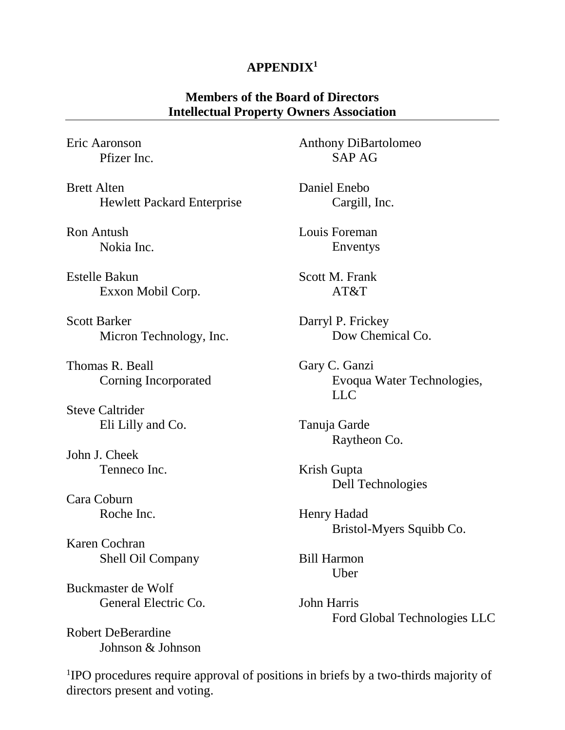# **APPENDIX1**

## **Members of the Board of Directors Intellectual Property Owners Association**

Eric Aaronson Pfizer Inc.

Brett Alten Hewlett Packard Enterprise

Ron Antush Nokia Inc.

Estelle Bakun Exxon Mobil Corp.

Scott Barker Micron Technology, Inc.

Thomas R. Beall Corning Incorporated

Steve Caltrider Eli Lilly and Co.

John J. Cheek Tenneco Inc.

Cara Coburn Roche Inc.

Karen Cochran Shell Oil Company

Buckmaster de Wolf General Electric Co.

Robert DeBerardine Johnson & Johnson Anthony DiBartolomeo SAP AG

Daniel Enebo Cargill, Inc.

Louis Foreman Enventys

Scott M. Frank AT&T

Darryl P. Frickey Dow Chemical Co.

Gary C. Ganzi Evoqua Water Technologies, LLC

Tanuja Garde Raytheon Co.

Krish Gupta Dell Technologies

Henry Hadad Bristol-Myers Squibb Co.

Bill Harmon Uber

John Harris Ford Global Technologies LLC

<sup>1</sup>IPO procedures require approval of positions in briefs by a two-thirds majority of directors present and voting.